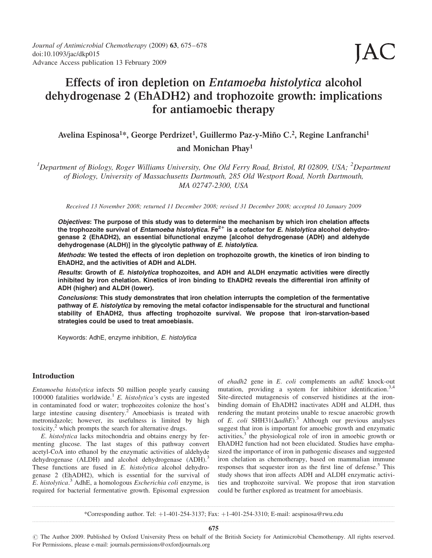# Effects of iron depletion on Entamoeba histolytica alcohol dehydrogenase 2 (EhADH2) and trophozoite growth: implications for antiamoebic therapy

## Avelina Espinosa<sup>1\*</sup>, George Perdrizet<sup>1</sup>, Guillermo Paz-y-Miño C.<sup>2</sup>, Regine Lanfranchi<sup>1</sup> and Monichan Phay1

<sup>1</sup>Department of Biology, Roger Williams University, One Old Ferry Road, Bristol, RI 02809, USA; <sup>2</sup>Department of Biology, University of Massachusetts Dartmouth, 285 Old Westport Road, North Dartmouth, MA 02747-2300, USA

Received 13 November 2008; returned 11 December 2008; revised 31 December 2008; accepted 10 January 2009

Objectives: The purpose of this study was to determine the mechanism by which iron chelation affects the trophozoite survival of Entamoeba histolytica. Fe<sup>2+</sup> is a cofactor for E. histolytica alcohol dehydrogenase 2 (EhADH2), an essential bifunctional enzyme [alcohol dehydrogenase (ADH) and aldehyde dehydrogenase (ALDH)] in the glycolytic pathway of E. histolytica.

Methods: We tested the effects of iron depletion on trophozoite growth, the kinetics of iron binding to EhADH2, and the activities of ADH and ALDH.

Results: Growth of E. histolytica trophozoites, and ADH and ALDH enzymatic activities were directly inhibited by iron chelation. Kinetics of iron binding to EhADH2 reveals the differential iron affinity of ADH (higher) and ALDH (lower).

Conclusions: This study demonstrates that iron chelation interrupts the completion of the fermentative pathway of E. histolytica by removing the metal cofactor indispensable for the structural and functional stability of EhADH2, thus affecting trophozoite survival. We propose that iron-starvation-based strategies could be used to treat amoebiasis.

Keywords: AdhE, enzyme inhibition, E. histolytica

### Introduction

Entamoeba histolytica infects 50 million people yearly causing 100000 fatalities worldwide.<sup>1</sup> E. histolytica's cysts are ingested in contaminated food or water; trophozoites colonize the host's large intestine causing disentery.<sup>2</sup> Amoebiasis is treated with metronidazole; however, its usefulness is limited by high toxicity, $\frac{2}{3}$  which prompts the search for alternative drugs.

E. histolytica lacks mitochondria and obtains energy by fermenting glucose. The last stages of this pathway convert acetyl-CoA into ethanol by the enzymatic activities of aldehyde dehydrogenase (ALDH) and alcohol dehydrogenase (ADH).<sup>3</sup> These functions are fused in E. histolytica alcohol dehydrogenase 2 (EhADH2), which is essential for the survival of E. histolytica.<sup>3</sup> AdhE, a homologous Escherichia coli enzyme, is required for bacterial fermentative growth. Episomal expression

of ehadh2 gene in E. coli complements an adhE knock-out mutation, providing a system for inhibitor identification.<sup>3,4</sup> Site-directed mutagenesis of conserved histidines at the ironbinding domain of EhADH2 inactivates ADH and ALDH, thus rendering the mutant proteins unable to rescue anaerobic growth of E. coli SHH31( $\Delta$ adhE).<sup>3</sup> Although our previous analyses suggest that iron is important for amoebic growth and enzymatic activities,<sup>3</sup> the physiological role of iron in amoebic growth or EhADH2 function had not been elucidated. Studies have emphasized the importance of iron in pathogenic diseases and suggested iron chelation as chemotherapy, based on mammalian immune responses that sequester iron as the first line of defense.<sup>5</sup> This study shows that iron affects ADH and ALDH enzymatic activities and trophozoite survival. We propose that iron starvation could be further explored as treatment for amoebiasis.

\*Corresponding author. Tel:  $+1-401-254-3137$ ; Fax:  $+1-401-254-3310$ ; E-mail: aespinosa@rwu.edu

# The Author 2009. Published by Oxford University Press on behalf of the British Society for Antimicrobial Chemotherapy. All rights reserved. For Permissions, please e-mail: journals.permissions@oxfordjournals.org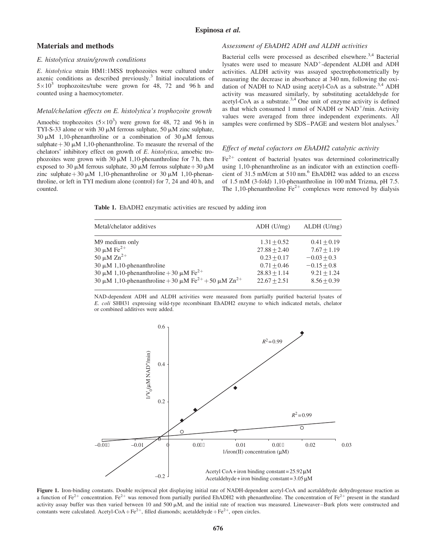### Espinosa et al.

### Materials and methods

### E. histolytica strain/growth conditions

E. histolytica strain HM1:1MSS trophozoites were cultured under axenic conditions as described previously. $3$  Initial inoculations of  $5 \times 10^3$  trophozoites/tube were grown for 48, 72 and 96 h and counted using a haemocytometer.

### Metal/chelation effects on E. histolytica's trophozoite growth

Amoebic trophozoites  $(5 \times 10^3)$  were grown for 48, 72 and 96 h in TYI-S-33 alone or with 30  $\mu$ M ferrous sulphate, 50  $\mu$ M zinc sulphate,  $30 \mu M$  1,10-phenanthroline or a combination of  $30 \mu M$  ferrous sulphate  $+30 \mu M$  1,10-phenanthroline. To measure the reversal of the chelators' inhibitory effect on growth of E. histolytica, amoebic trophozoites were grown with  $30 \mu M$  1,10-phenanthroline for 7 h, then exposed to 30  $\mu$ M ferrous sulphate, 30  $\mu$ M ferrous sulphate + 30  $\mu$ M zinc sulphate + 30  $\mu$ M 1,10-phenanthroline or 30  $\mu$ M 1,10-phenanthroline, or left in TYI medium alone (control) for 7, 24 and 40 h, and counted.

### Assessment of EhADH2 ADH and ALDH activities

Bacterial cells were processed as described elsewhere.<sup>3,4</sup> Bacterial lysates were used to measure NAD<sup>+</sup>-dependent ALDH and ADH activities. ALDH activity was assayed spectrophotometrically by measuring the decrease in absorbance at 340 nm, following the oxidation of NADH to NAD using acetyl-CoA as a substrate.<sup>3,4</sup> ADH activity was measured similarly, by substituting acetaldehyde for acetyl-CoA as a substrate.<sup>3,4</sup> One unit of enzyme activity is defined as that which consumed 1 mmol of NADH or  $NAD<sup>+</sup>/min$ . Activity values were averaged from three independent experiments. All samples were confirmed by SDS–PAGE and western blot analyses.<sup>3</sup>

### Effect of metal cofactors on EhADH2 catalytic activity

 $Fe<sup>2+</sup>$  content of bacterial lysates was determined colorimetrically using 1,10-phenanthroline as an indicator with an extinction coefficient of 31.5 mM/cm at 510 nm.<sup>6</sup> EhADH2 was added to an excess of 1.5 mM (3-fold) 1,10-phenanthroline in 100 mM Trizma, pH 7.5. The 1,10-phenanthroline  $\text{Fe}^{2+}$  complexes were removed by dialysis

Table 1. EhADH2 enzymatic activities are rescued by adding iron

| Metal/chelator additives                                             | $ADH$ ( $U/mg$ ) | $ALDH$ (U/mg) |
|----------------------------------------------------------------------|------------------|---------------|
| M9 medium only                                                       | $1.31 + 0.52$    | $0.41 + 0.19$ |
| 30 $\mu$ M Fe <sup>2+</sup>                                          | $27.88 + 2.40$   | $7.67 + 1.19$ |
| 50 $\mu$ M $\text{Zn}^{2+}$                                          | $0.23 + 0.17$    | $-0.03 + 0.3$ |
| $30 \mu M$ 1,10-phenanthroline                                       | $0.71 + 0.46$    | $-0.15 + 0.8$ |
| 30 $\mu$ M 1,10-phenanthroline + 30 $\mu$ M Fe <sup>2+</sup>         | $28.83 + 1.14$   | $9.21 + 1.24$ |
| 30 μM 1,10-phenanthroline + 30 μM Fe <sup>2+</sup> + 50 μM $Zn^{2+}$ | $22.67 + 2.51$   | $8.56 + 0.39$ |

NAD-dependent ADH and ALDH activities were measured from partially purified bacterial lysates of E. coli SHH31 expressing wild-type recombinant EhADH2 enzyme to which indicated metals, chelator or combined additives were added.



Figure 1. Iron-binding constants. Double reciprocal plot displaying initial rate of NADH-dependent acetyl-CoA and acetaldehyde dehydrogenase reaction as a function of Fe<sup>2+</sup> concentration. Fe<sup>2+</sup> was removed from partially purified EhADH2 with phenanthroline. The concentration of Fe<sup>2+</sup> present in the standard activity assay buffer was then varied between 10 and 500  $\mu$ M, and the initial rate of reaction was measured. Lineweaver–Burk plots were constructed and constants were calculated. Acetyl-CoA+Fe<sup>2+</sup>, filled diamonds; acetaldehyde +Fe<sup>2+</sup>, open circles.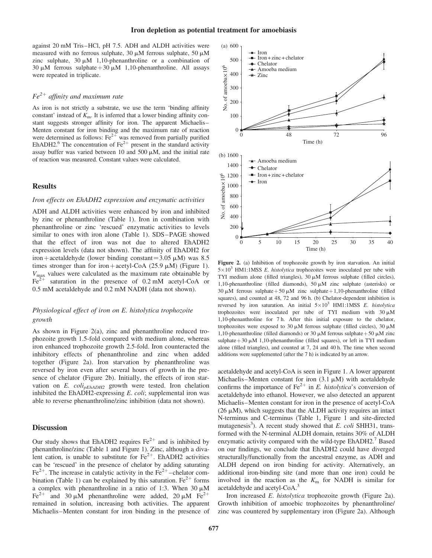against 20 mM Tris–HCl, pH 7.5. ADH and ALDH activities were measured with no ferrous sulphate, 30  $\mu$ M ferrous sulphate, 50  $\mu$ M zinc sulphate,  $30 \mu M$  1,10-phenanthroline or a combination of 30  $\mu$ M ferrous sulphate + 30  $\mu$ M 1,10-phenanthroline. All assays were repeated in triplicate.

### $Fe^{2+}$  affinity and maximum rate

As iron is not strictly a substrate, we use the term 'binding affinity constant' instead of  $K<sub>m</sub>$ . It is inferred that a lower binding affinity constant suggests stronger affinity for iron. The apparent Michaelis– Menten constant for iron binding and the maximum rate of reaction were determined as follows:  $Fe^{2+}$  was removed from partially purified EhADH2.<sup>6</sup> The concentration of  $Fe^{2+}$  present in the standard activity assay buffer was varied between 10 and 500  $\mu$ M, and the initial rate of reaction was measured. Constant values were calculated.

### **Results**

### Iron effects on EhADH2 expression and enzymatic activities

ADH and ALDH activities were enhanced by iron and inhibited by zinc or phenanthroline (Table 1). Iron in combination with phenanthroline or zinc 'rescued' enzymatic activities to levels similar to ones with iron alone (Table 1). SDS–PAGE showed that the effect of iron was not due to altered EhADH2 expression levels (data not shown). The affinity of EhADH2 for iron+acetaldehyde (lower binding constant=3.05  $\mu$ M) was 8.5 times stronger than for iron+acetyl-CoA (25.9  $\mu$ M) (Figure 1).  $V_{\text{max}}$  values were calculated as the maximum rate obtainable by  $Fe<sup>2+</sup>$  saturation in the presence of 0.2 mM acetyl-CoA or 0.5 mM acetaldehyde and 0.2 mM NADH (data not shown).

### Physiological effect of iron on E. histolytica trophozoite growth

As shown in Figure 2(a), zinc and phenanthroline reduced trophozoite growth 1.5-fold compared with medium alone, whereas iron enhanced trophozoite growth 2.5-fold. Iron counteracted the inhibitory effects of phenanthroline and zinc when added together (Figure 2a). Iron starvation by phenanthroline was reversed by iron even after several hours of growth in the presence of chelator (Figure 2b). Initially, the effects of iron starvation on  $E$ .  $coli<sub>pehADH2</sub>$  growth were tested. Iron chelation inhibited the EhADH2-expressing  $E.$  coli; supplemental iron was able to reverse phenanthroline/zinc inhibition (data not shown).

### **Discussion**

Our study shows that EhADH2 requires  $Fe^{2+}$  and is inhibited by phenanthroline/zinc (Table 1 and Figure 1). Zinc, although a divalent cation, is unable to substitute for  $Fe^{2+}$ . EhADH2 activities can be 'rescued' in the presence of chelator by adding saturating  $Fe<sup>2+</sup>$ . The increase in catalytic activity in the  $Fe<sup>2+</sup>$ -chelator combination (Table 1) can be explained by this saturation.  $Fe^{2+}$  forms a complex with phenanthroline in a ratio of 1:3. When  $30 \mu M$ Fe<sup>2+</sup> and 30  $\mu$ M phenanthroline were added, 20  $\mu$ M Fe<sup>2+</sup> remained in solution, increasing both activities. The apparent Michaelis–Menten constant for iron binding in the presence of



Figure 2. (a) Inhibition of trophozoite growth by iron starvation. An initial  $5 \times 10^3$  HM1:1MSS *E. histolytica* trophozoites were inoculated per tube with TYI medium alone (filled triangles),  $30 \mu M$  ferrous sulphate (filled circles), 1,10-phenanthroline (filled diamonds), 50  $\mu$ M zinc sulphate (asterisks) or 30  $\mu$ M ferrous sulphate + 50  $\mu$ M zinc sulphate + 1,10-phenanthroline (filled squares), and counted at 48, 72 and 96 h. (b) Chelator-dependent inhibition is reversed by iron saturation. An initial  $5 \times 10^3$  HM1:1MSS E. histolytica trophozoites were inoculated per tube of TYI medium with  $30 \mu M$ 1,10-phenanthroline for 7 h. After this initial exposure to the chelator, trophozoites were exposed to 30  $\mu$ M ferrous sulphate (filled circles), 30  $\mu$ M 1,10-phenanthroline (filled diamonds) or 30  $\mu$ M ferrous sulphate + 50  $\mu$ M zinc sulphate  $+30 \mu M$  1,10-phenanthroline (filled squares), or left in TYI medium alone (filled triangles), and counted at 7, 24 and 40 h. The time when second additions were supplemented (after the 7 h) is indicated by an arrow.

acetaldehyde and acetyl-CoA is seen in Figure 1. A lower apparent Michaelis–Menten constant for iron  $(3.1 \mu M)$  with acetaldehyde confirms the importance of Fe<sup>2+</sup> in E. histolytica's conversion of acetaldehyde into ethanol. However, we also detected an apparent Michaelis–Menten constant for iron in the presence of acetyl-CoA  $(26 \mu M)$ , which suggests that the ALDH activity requires an intact N-terminus and C-terminus (Table 1, Figure 1 and site-directed mutagenesis<sup>3</sup>). A recent study showed that E. coli SHH31, transformed with the N-terminal ALDH domain, retains 30% of ALDH enzymatic activity compared with the wild-type  $EhADH2$ .<sup>7</sup> Based on our findings, we conclude that EhADH2 could have diverged structurally/functionally from the ancestral enzyme, as ADH and ALDH depend on iron binding for activity. Alternatively, an additional iron-binding site (and more than one iron) could be involved in the reaction as the  $K<sub>m</sub>$  for NADH is similar for acetaldehyde and acetyl-CoA.3

Iron increased E. histolytica trophozoite growth (Figure 2a). Growth inhibition of amoebic trophozoites by phenanthroline/ zinc was countered by supplementary iron (Figure 2a). Although